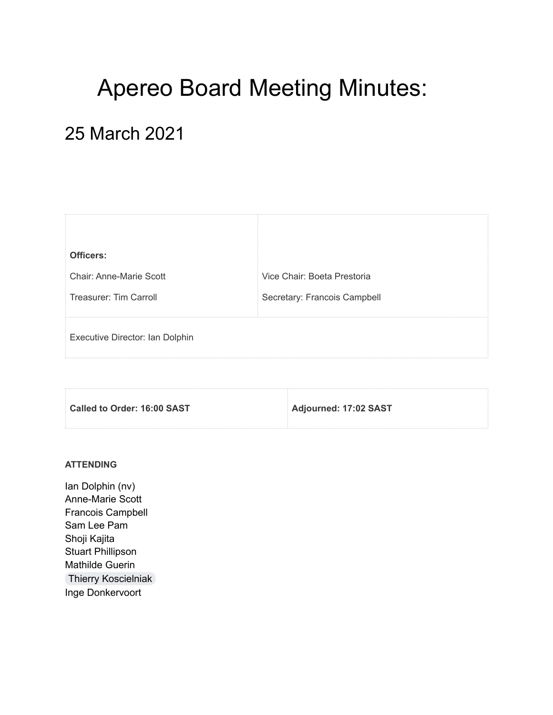# Apereo Board Meeting Minutes:

## 25 March 2021

| Officers:                       |                              |
|---------------------------------|------------------------------|
| Chair: Anne-Marie Scott         | Vice Chair: Boeta Prestoria  |
| Treasurer: Tim Carroll          | Secretary: Francois Campbell |
|                                 |                              |
| Executive Director: Ian Dolphin |                              |
|                                 |                              |

| Called to Order: 16:00 SAST | Adjourned: 17:02 SAST |
|-----------------------------|-----------------------|
|                             |                       |

#### **ATTENDING**

Ian Dolphin (nv) Anne-Marie Scott Francois Campbell Sam Lee Pam Shoji Kajita Stuart Phillipson Mathilde Guerin Thierry [Koscielniak](mailto:thierry.koscielniak@apereo.org) Inge Donkervoort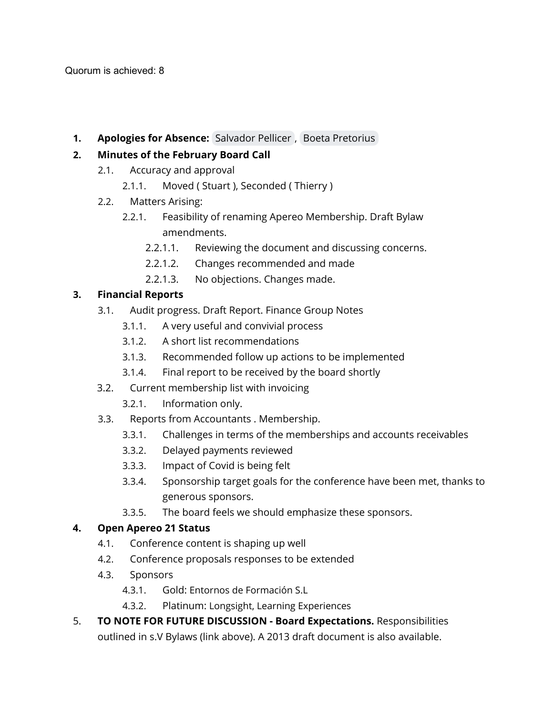**1. Apologies for Absence:** [Salvador](mailto:salvador.pellicer@entornosdeformacion.com) Pellicer , Boeta [Pretorius](mailto:boeta.pretorius@apereo.org)

#### **2. Minutes of the February Board Call**

- 2.1. Accuracy and approval
	- 2.1.1. Moved ( Stuart ), Seconded ( Thierry )
- 2.2. Matters Arising:
	- 2.2.1. Feasibility of renaming Apereo Membership. Draft Bylaw amendments.
		- 2.2.1.1. Reviewing the document and discussing concerns.
		- 2.2.1.2. Changes recommended and made
		- 2.2.1.3. No objections. Changes made.

#### **3. Financial Reports**

- 3.1. Audit progress. Draft Report. Finance Group Notes
	- 3.1.1. A very useful and convivial process
	- 3.1.2. A short list recommendations
	- 3.1.3. Recommended follow up actions to be implemented
	- 3.1.4. Final report to be received by the board shortly
- 3.2. Current membership list with invoicing
	- 3.2.1. Information only.
- 3.3. Reports from Accountants . Membership.
	- 3.3.1. Challenges in terms of the memberships and accounts receivables
	- 3.3.2. Delayed payments reviewed
	- 3.3.3. Impact of Covid is being felt
	- 3.3.4. Sponsorship target goals for the conference have been met, thanks to generous sponsors.
	- 3.3.5. The board feels we should emphasize these sponsors.

#### **4. Open Apereo 21 Status**

- 4.1. Conference content is shaping up well
- 4.2. Conference proposals responses to be extended
- 4.3. Sponsors
	- 4.3.1. Gold: Entornos de Formación S.L
	- 4.3.2. Platinum: Longsight, Learning Experiences
- 5. **TO NOTE FOR FUTURE DISCUSSION - Board Expectations.** Responsibilities outlined in s.V Bylaws (link above). A 2013 draft document is also available.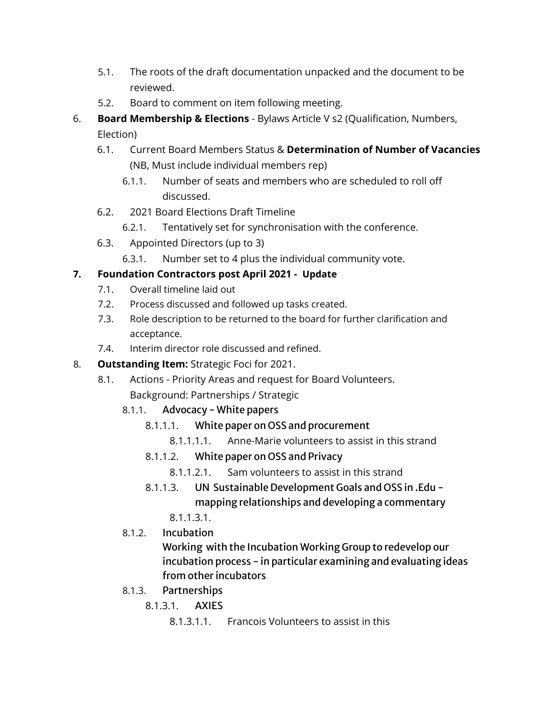- 5.1. The roots of the draft documentation unpacked and the document to be reviewed.
- 5.2. Board to comment on item following meeting.
- 6. **Board Membership & Elections** Bylaws Article V s2 (Qualification, Numbers, Election)
	- 6.1. Current Board Members Status & **Determination of Number of Vacancies** (NB, Must include individual members rep)
		- 6.1.1. Number of seats and members who are scheduled to roll off discussed.
	- 6.2. 2021 Board Elections Draft Timeline
		- 6.2.1. Tentatively set for synchronisation with the conference.
	- 6.3. Appointed Directors (up to 3)
		- 6.3.1. Number set to 4 plus the individual community vote.

#### **7. Foundation Contractors post April 2021 - Update**

- 7.1. Overall timeline laid out
- 7.2. Process discussed and followed up tasks created.
- 7.3. Role description to be returned to the board for further clarification and acceptance.
- 7.4. Interim director role discussed and refined.

#### 8. **Outstanding Item:** Strategic Foci for 2021.

- 8.1. Actions Priority Areas and request for Board Volunteers. Background: Partnerships / Strategic
	- 8.1.1. Advocacy White papers
		- 8.1.1.1. White paper on OSS and procurement
			- 8.1.1.1.1. Anne-Marie volunteers to assist in this strand

#### 8.1.1.2. White paper on OSS and Privacy

- 8.1.1.2.1. Sam volunteers to assist in this strand
- 8.1.1.3. UN Sustainable Development Goals and OSS in .Edu mapping relationships and developing a commentary

8.1.1.3.1.

8.1.2. Incubation

Working with the Incubation Working Group to redevelop our incubation process - in particular examining and evaluating ideas from other incubators

- 8.1.3. Partnerships
	- 8.1.3.1. AXIES
		- 8.1.3.1.1. Francois Volunteers to assist in this